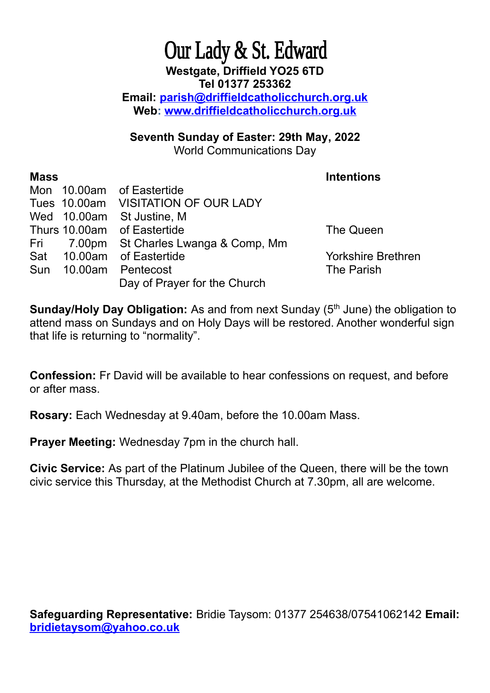## Our Lady & St. Edward **Westgate, Driffield YO25 6TD Tel 01377 253362 Email: [parish@driffieldcatholicchurch.org.uk](mailto:parish@driffieldcatholicchurch.org.uk) Web: [www.driffieldcatholicchurch.org.uk](http://www.driffieldcatholicchurch.org.uk/)**

**Seventh Sunday of Easter: 29th May, 2022**

World Communications Day

## **Mass** Intentions

|  | Mon 10.00am of Eastertide               |                    |
|--|-----------------------------------------|--------------------|
|  | Tues 10.00am VISITATION OF OUR LADY     |                    |
|  | Wed 10.00am St Justine, M               |                    |
|  | Thurs 10.00am of Eastertide             | The Queen          |
|  | Fri 7.00pm St Charles Lwanga & Comp, Mm |                    |
|  | Sat 10.00am of Eastertide               | <b>Yorkshire B</b> |
|  | Sun 10.00am Pentecost                   | The Parish         |
|  | Day of Prayer for the Church            |                    |

kshire Brethren

**Sunday/Holy Day Obligation:** As and from next Sunday (5<sup>th</sup> June) the obligation to attend mass on Sundays and on Holy Days will be restored. Another wonderful sign that life is returning to "normality".

**Confession:** Fr David will be available to hear confessions on request, and before or after mass.

**Rosary:** Each Wednesday at 9.40am, before the 10.00am Mass.

**Prayer Meeting:** Wednesday 7pm in the church hall.

**Civic Service:** As part of the Platinum Jubilee of the Queen, there will be the town civic service this Thursday, at the Methodist Church at 7.30pm, all are welcome.